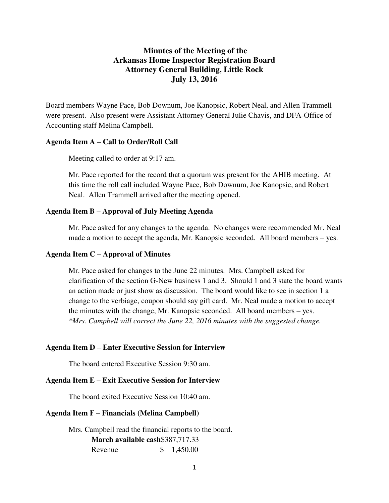# **Minutes of the Meeting of the Arkansas Home Inspector Registration Board Attorney General Building, Little Rock July 13, 2016**

Board members Wayne Pace, Bob Downum, Joe Kanopsic, Robert Neal, and Allen Trammell were present. Also present were Assistant Attorney General Julie Chavis, and DFA-Office of Accounting staff Melina Campbell.

#### **Agenda Item A – Call to Order/Roll Call**

Meeting called to order at 9:17 am.

Mr. Pace reported for the record that a quorum was present for the AHIB meeting. At this time the roll call included Wayne Pace, Bob Downum, Joe Kanopsic, and Robert Neal. Allen Trammell arrived after the meeting opened.

#### **Agenda Item B – Approval of July Meeting Agenda**

Mr. Pace asked for any changes to the agenda. No changes were recommended Mr. Neal made a motion to accept the agenda, Mr. Kanopsic seconded. All board members – yes.

#### **Agenda Item C – Approval of Minutes**

Mr. Pace asked for changes to the June 22 minutes. Mrs. Campbell asked for clarification of the section G-New business 1 and 3. Should 1 and 3 state the board wants an action made or just show as discussion. The board would like to see in section 1 a change to the verbiage, coupon should say gift card. Mr. Neal made a motion to accept the minutes with the change, Mr. Kanopsic seconded. All board members – yes. *\*Mrs. Campbell will correct the June 22, 2016 minutes with the suggested change.* 

### **Agenda Item D – Enter Executive Session for Interview**

The board entered Executive Session 9:30 am.

## **Agenda Item E – Exit Executive Session for Interview**

The board exited Executive Session 10:40 am.

### **Agenda Item F – Financials (Melina Campbell)**

Mrs. Campbell read the financial reports to the board. **March available cash**\$387,717.33 Revenue \$ 1,450.00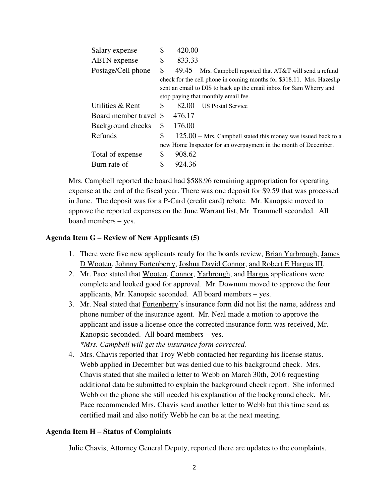| Salary expense      | \$<br>420.00                                                          |
|---------------------|-----------------------------------------------------------------------|
| <b>AETN</b> expense | \$<br>833.33                                                          |
| Postage/Cell phone  | \$<br>$49.45$ – Mrs. Campbell reported that AT&T will send a refund   |
|                     | check for the cell phone in coming months for \$318.11. Mrs. Hazeslip |
|                     | sent an email to DIS to back up the email inbox for Sam Wherry and    |
|                     | stop paying that monthly email fee.                                   |
| Utilities & Rent    | \$<br>$82.00 - US$ Postal Service                                     |
|                     | 476.17                                                                |
| Background checks   | \$<br>176.00                                                          |
| Refunds             | \$<br>$125.00 - Mrs. Campbell stated this money was issued back to a$ |
|                     | new Home Inspector for an overpayment in the month of December.       |
| Total of expense    | \$<br>908.62                                                          |
| Burn rate of        | \$<br>924.36                                                          |
|                     | Board member travel \$                                                |

Mrs. Campbell reported the board had \$588.96 remaining appropriation for operating expense at the end of the fiscal year. There was one deposit for \$9.59 that was processed in June. The deposit was for a P-Card (credit card) rebate. Mr. Kanopsic moved to approve the reported expenses on the June Warrant list, Mr. Trammell seconded. All board members – yes.

## **Agenda Item G – Review of New Applicants (5)**

- 1. There were five new applicants ready for the boards review, Brian Yarbrough, James D Wooten, Johnny Fortenberry, Joshua David Connor, and Robert E Hargus III.
- 2. Mr. Pace stated that Wooten, Connor, Yarbrough, and Hargus applications were complete and looked good for approval. Mr. Downum moved to approve the four applicants, Mr. Kanopsic seconded. All board members – yes.
- 3. Mr. Neal stated that Fortenberry's insurance form did not list the name, address and phone number of the insurance agent. Mr. Neal made a motion to approve the applicant and issue a license once the corrected insurance form was received, Mr. Kanopsic seconded. All board members – yes.

*\*Mrs. Campbell will get the insurance form corrected.* 

4. Mrs. Chavis reported that Troy Webb contacted her regarding his license status. Webb applied in December but was denied due to his background check. Mrs. Chavis stated that she mailed a letter to Webb on March 30th, 2016 requesting additional data be submitted to explain the background check report. She informed Webb on the phone she still needed his explanation of the background check. Mr. Pace recommended Mrs. Chavis send another letter to Webb but this time send as certified mail and also notify Webb he can be at the next meeting.

### **Agenda Item H – Status of Complaints**

Julie Chavis, Attorney General Deputy, reported there are updates to the complaints.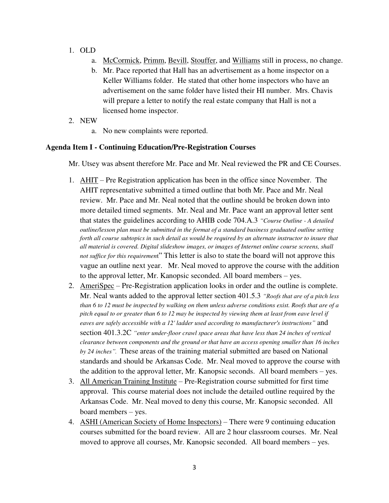- 1. OLD
	- a. McCormick, Primm, Bevill, Stouffer, and Williams still in process, no change.
	- b. Mr. Pace reported that Hall has an advertisement as a home inspector on a Keller Williams folder. He stated that other home inspectors who have an advertisement on the same folder have listed their HI number. Mrs. Chavis will prepare a letter to notify the real estate company that Hall is not a licensed home inspector.
- 2. NEW
	- a. No new complaints were reported.

## **Agenda Item I - Continuing Education/Pre-Registration Courses**

Mr. Utsey was absent therefore Mr. Pace and Mr. Neal reviewed the PR and CE Courses.

- 1. AHIT Pre Registration application has been in the office since November. The AHIT representative submitted a timed outline that both Mr. Pace and Mr. Neal review. Mr. Pace and Mr. Neal noted that the outline should be broken down into more detailed timed segments. Mr. Neal and Mr. Pace want an approval letter sent that states the guidelines according to AHIB code 704.A.3 *"Course Outline - A detailed outline/lesson plan must be submitted in the format of a standard business graduated outline setting forth all course subtopics in such detail as would be required by an alternate instructor to insure that all material is covered. Digital slideshow images, or images of Internet online course screens, shall not suffice for this requiremen*t" This letter is also to state the board will not approve this vague an outline next year. Mr. Neal moved to approve the course with the addition to the approval letter, Mr. Kanopsic seconded. All board members – yes.
- 2. AmeriSpec Pre-Registration application looks in order and the outline is complete. Mr. Neal wants added to the approval letter section 401.5.3 *"Roofs that are of a pitch less than 6 to 12 must be inspected by walking on them unless adverse conditions exist. Roofs that are of a pitch equal to or greater than 6 to 12 may be inspected by viewing them at least from eave level if eaves are safely accessible with a 12' ladder used according to manufacturer's instructions"* and section 401.3.2C *"enter under-floor crawl space areas that have less than 24 inches of vertical clearance between components and the ground or that have an access opening smaller than 16 inches by 24 inches".* These areas of the training material submitted are based on National standards and should be Arkansas Code. Mr. Neal moved to approve the course with the addition to the approval letter, Mr. Kanopsic seconds. All board members – yes.
- 3. All American Training Institute Pre-Registration course submitted for first time approval. This course material does not include the detailed outline required by the Arkansas Code. Mr. Neal moved to deny this course, Mr. Kanopsic seconded. All board members – yes.
- 4. ASHI (American Society of Home Inspectors) There were 9 continuing education courses submitted for the board review. All are 2 hour classroom courses. Mr. Neal moved to approve all courses, Mr. Kanopsic seconded. All board members – yes.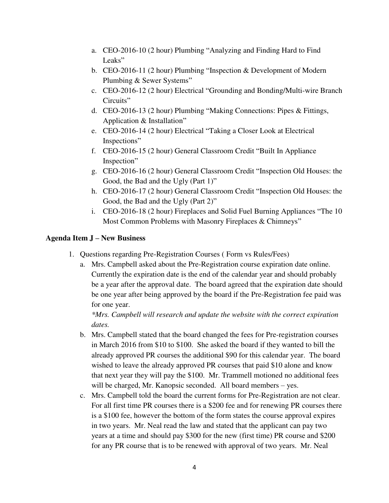- a. CEO-2016-10 (2 hour) Plumbing "Analyzing and Finding Hard to Find Leaks"
- b. CEO-2016-11 (2 hour) Plumbing "Inspection & Development of Modern Plumbing & Sewer Systems"
- c. CEO-2016-12 (2 hour) Electrical "Grounding and Bonding/Multi-wire Branch Circuits"
- d. CEO-2016-13 (2 hour) Plumbing "Making Connections: Pipes & Fittings, Application & Installation"
- e. CEO-2016-14 (2 hour) Electrical "Taking a Closer Look at Electrical Inspections"
- f. CEO-2016-15 (2 hour) General Classroom Credit "Built In Appliance Inspection"
- g. CEO-2016-16 (2 hour) General Classroom Credit "Inspection Old Houses: the Good, the Bad and the Ugly (Part 1)"
- h. CEO-2016-17 (2 hour) General Classroom Credit "Inspection Old Houses: the Good, the Bad and the Ugly (Part 2)"
- i. CEO-2016-18 (2 hour) Fireplaces and Solid Fuel Burning Appliances "The 10 Most Common Problems with Masonry Fireplaces & Chimneys"

# **Agenda Item J – New Business**

- 1. Questions regarding Pre-Registration Courses ( Form vs Rules/Fees)
	- a. Mrs. Campbell asked about the Pre-Registration course expiration date online. Currently the expiration date is the end of the calendar year and should probably be a year after the approval date. The board agreed that the expiration date should be one year after being approved by the board if the Pre-Registration fee paid was for one year.

*\*Mrs. Campbell will research and update the website with the correct expiration dates.* 

- b. Mrs. Campbell stated that the board changed the fees for Pre-registration courses in March 2016 from \$10 to \$100. She asked the board if they wanted to bill the already approved PR courses the additional \$90 for this calendar year. The board wished to leave the already approved PR courses that paid \$10 alone and know that next year they will pay the \$100. Mr. Trammell motioned no additional fees will be charged, Mr. Kanopsic seconded. All board members – yes.
- c. Mrs. Campbell told the board the current forms for Pre-Registration are not clear. For all first time PR courses there is a \$200 fee and for renewing PR courses there is a \$100 fee, however the bottom of the form states the course approval expires in two years. Mr. Neal read the law and stated that the applicant can pay two years at a time and should pay \$300 for the new (first time) PR course and \$200 for any PR course that is to be renewed with approval of two years. Mr. Neal